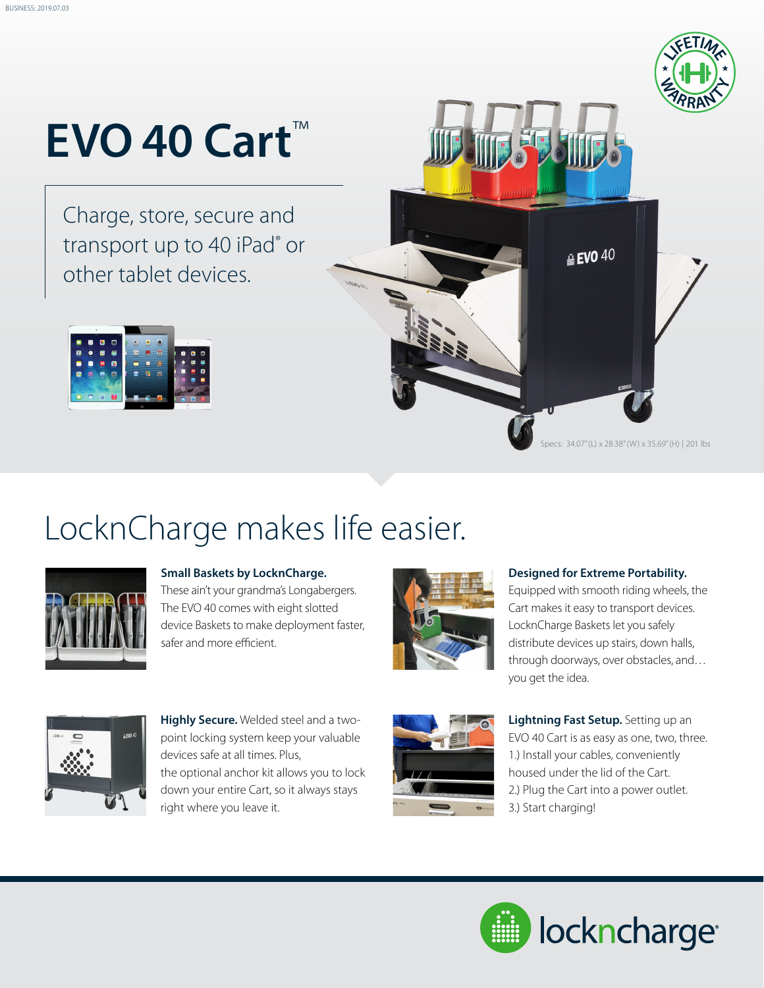

# **EVO 40 Cart**™

Charge, store, secure and transport up to 40 iPad<sup>®</sup> or other tablet devices.



### LocknCharge makes life easier.



#### **Small Baskets by LocknCharge.**

These ain't your grandma's Longabergers. The EVO 40 comes with eight slotted device Baskets to make deployment faster, safer and more efficient.



#### **Designed for Extreme Portability.**

Equipped with smooth riding wheels, the Cart makes it easy to transport devices. LocknCharge Baskets let you safely distribute devices up stairs, down halls, through doorways, over obstacles, and… you get the idea.



**Highly Secure.** Welded steel and a twopoint locking system keep your valuable devices safe at all times. Plus, the optional anchor kit allows you to lock down your entire Cart, so it always stays right where you leave it.



**Lightning Fast Setup.** Setting up an EVO 40 Cart is as easy as one, two, three. 1.) Install your cables, conveniently housed under the lid of the Cart. 2.) Plug the Cart into a power outlet. 3.) Start charging!